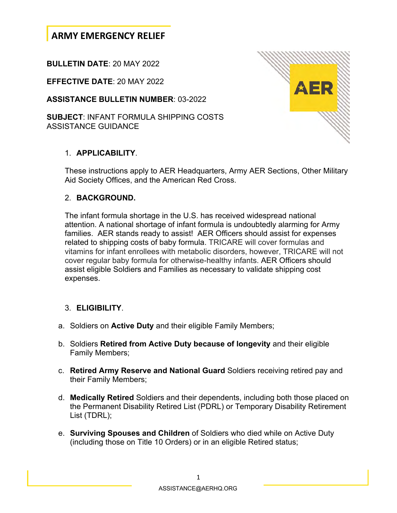# **ARMY EMERGENCY RELIEF**

### **BULLETIN DATE**: 20 MAY 2022

**EFFECTIVE DATE**: 20 MAY 2022

**ASSISTANCE BULLETIN NUMBER**: 03-2022

**SUBJECT**: INFANT FORMULA SHIPPING COSTS ASSISTANCE GUIDANCE

### 1. **APPLICABILITY**.

These instructions apply to AER Headquarters, Army AER Sections, Other Military Aid Society Offices, and the American Red Cross.

#### 2. **BACKGROUND.**

The infant formula shortage in the U.S. has received widespread national attention. A national shortage of infant formula is undoubtedly alarming for Army families. AER stands ready to assist! AER Officers should assist for expenses related to shipping costs of baby formula. TRICARE will cover formulas and vitamins for infant enrollees with metabolic disorders, however, TRICARE will not cover regular baby formula for otherwise-healthy infants. AER Officers should assist eligible Soldiers and Families as necessary to validate shipping cost expenses.

### 3. **ELIGIBILITY**.

- a. Soldiers on **Active Duty** and their eligible Family Members;
- b. Soldiers **Retired from Active Duty because of longevity** and their eligible Family Members;
- c. **Retired Army Reserve and National Guard** Soldiers receiving retired pay and their Family Members;
- d. **Medically Retired** Soldiers and their dependents, including both those placed on the Permanent Disability Retired List (PDRL) or Temporary Disability Retirement List (TDRL);
- e. **Surviving Spouses and Children** of Soldiers who died while on Active Duty (including those on Title 10 Orders) or in an eligible Retired status;

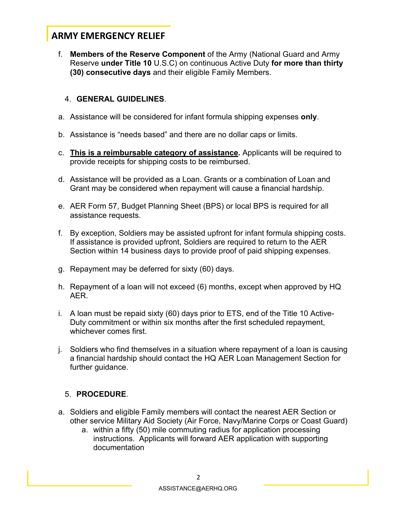# **ARMY EMERGENCY RELIEF**

f. **Members of the Reserve Component** of the Army (National Guard and Army Reserve **under Title 10** U.S.C) on continuous Active Duty **for more than thirty (30) consecutive days** and their eligible Family Members.

### 4. **GENERAL GUIDELINES**.

- a. Assistance will be considered for infant formula shipping expenses **only**.
- b. Assistance is "needs based" and there are no dollar caps or limits.
- c. **This is a reimbursable category of assistance.** Applicants will be required to provide receipts for shipping costs to be reimbursed.
- d. Assistance will be provided as a Loan. Grants or a combination of Loan and Grant may be considered when repayment will cause a financial hardship.
- e. AER Form 57, Budget Planning Sheet (BPS) or local BPS is required for all assistance requests.
- f. By exception, Soldiers may be assisted upfront for infant formula shipping costs. If assistance is provided upfront, Soldiers are required to return to the AER Section within 14 business days to provide proof of paid shipping expenses.
- g. Repayment may be deferred for sixty (60) days.
- h. Repayment of a loan will not exceed (6) months, except when approved by HQ AER.
- i. A loan must be repaid sixty (60) days prior to ETS, end of the Title 10 Active-Duty commitment or within six months after the first scheduled repayment, whichever comes first.
- j. Soldiers who find themselves in a situation where repayment of a loan is causing a financial hardship should contact the HQ AER Loan Management Section for further guidance.

### 5. **PROCEDURE**.

- a. Soldiers and eligible Family members will contact the nearest AER Section or other service Military Aid Society (Air Force, Navy/Marine Corps or Coast Guard)
	- a. within a fifty (50) mile commuting radius for application processing instructions. Applicants will forward AER application with supporting documentation